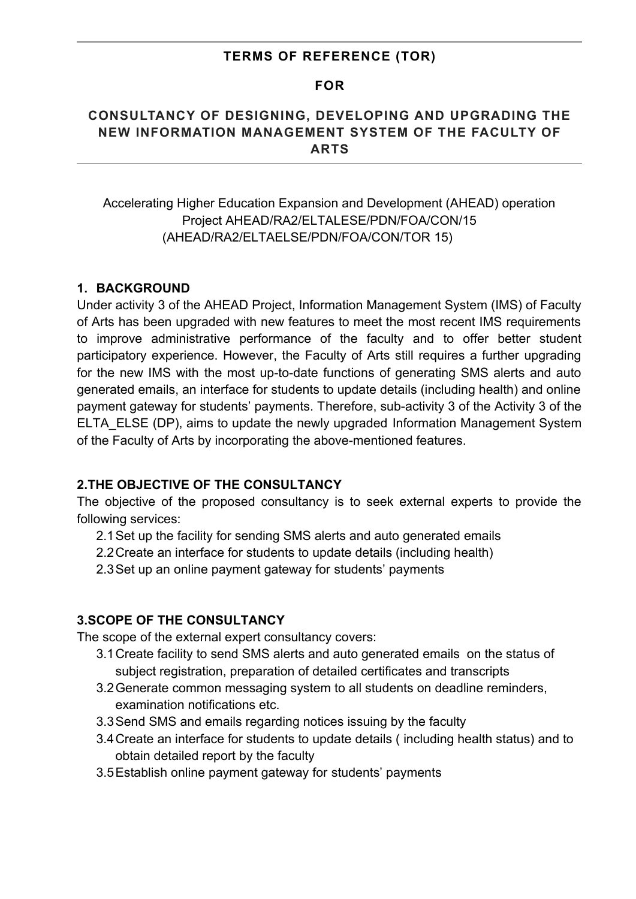### **TERMS OF REFERENCE (TOR)**

#### **FOR**

## **CONSULTANCY OF DESIGNING, DEVELOPING AND UPGRADING THE NEW INFORMATION MANAGEMENT SYSTEM OF THE FACULTY OF ARTS**

Accelerating Higher Education Expansion and Development (AHEAD) operation Project AHEAD/RA2/ELTALESE/PDN/FOA/CON/15 (AHEAD/RA2/ELTAELSE/PDN/FOA/CON/TOR 15)

### **1. BACKGROUND**

Under activity 3 of the AHEAD Project, Information Management System (IMS) of Faculty of Arts has been upgraded with new features to meet the most recent IMS requirements to improve administrative performance of the faculty and to offer better student participatory experience. However, the Faculty of Arts still requires a further upgrading for the new IMS with the most up-to-date functions of generating SMS alerts and auto generated emails, an interface for students to update details (including health) and online payment gateway for students' payments. Therefore, sub-activity 3 of the Activity 3 of the ELTA\_ELSE (DP), aims to update the newly upgraded Information Management System of the Faculty of Arts by incorporating the above-mentioned features.

### **2.THE OBJECTIVE OF THE CONSULTANCY**

The objective of the proposed consultancy is to seek external experts to provide the following services:

- 2.1Set up the facility for sending SMS alerts and auto generated emails
- 2.2Create an interface for students to update details (including health)
- 2.3Set up an online payment gateway for students' payments

#### **3.SCOPE OF THE CONSULTANCY**

The scope of the external expert consultancy covers:

- 3.1Create facility to send SMS alerts and auto generated emails on the status of subject registration, preparation of detailed certificates and transcripts
- 3.2Generate common messaging system to all students on deadline reminders, examination notifications etc.
- 3.3Send SMS and emails regarding notices issuing by the faculty
- 3.4Create an interface for students to update details ( including health status) and to obtain detailed report by the faculty
- 3.5Establish online payment gateway for students' payments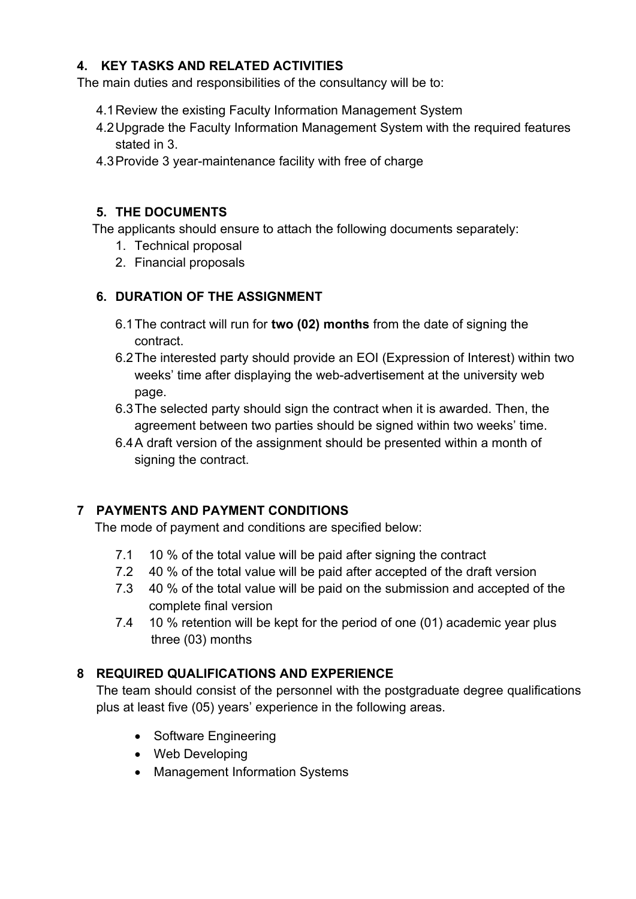## **4. KEY TASKS AND RELATED ACTIVITIES**

The main duties and responsibilities of the consultancy will be to:

- 4.1Review the existing Faculty Information Management System
- 4.2Upgrade the Faculty Information Management System with the required features stated in 3.
- 4.3Provide 3 year-maintenance facility with free of charge

## **5. THE DOCUMENTS**

The applicants should ensure to attach the following documents separately:

- 1. Technical proposal
- 2. Financial proposals

# **6. DURATION OF THE ASSIGNMENT**

- 6.1The contract will run for **two (02) months** from the date of signing the contract.
- 6.2The interested party should provide an EOI (Expression of Interest) within two weeks' time after displaying the web-advertisement at the university web page.
- 6.3The selected party should sign the contract when it is awarded. Then, the agreement between two parties should be signed within two weeks' time.
- 6.4A draft version of the assignment should be presented within a month of signing the contract.

# **7 PAYMENTS AND PAYMENT CONDITIONS**

The mode of payment and conditions are specified below:

- 7.1 10 % of the total value will be paid after signing the contract
- 7.2 40 % of the total value will be paid after accepted of the draft version
- 7.3 40 % of the total value will be paid on the submission and accepted of the complete final version
- 7.4 10 % retention will be kept for the period of one (01) academic year plus three (03) months

# **8 REQUIRED QUALIFICATIONS AND EXPERIENCE**

The team should consist of the personnel with the postgraduate degree qualifications plus at least five (05) years' experience in the following areas.

- Software Engineering
- Web Developing
- Management Information Systems